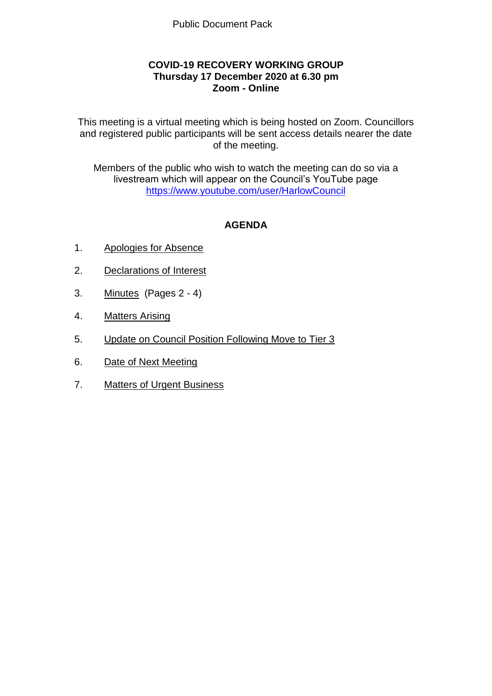## **COVID-19 RECOVERY WORKING GROUP Thursday 17 December 2020 at 6.30 pm Zoom - Online**

This meeting is a virtual meeting which is being hosted on Zoom. Councillors and registered public participants will be sent access details nearer the date of the meeting.

Members of the public who wish to watch the meeting can do so via a livestream which will appear on the Council's YouTube page <https://www.youtube.com/user/HarlowCouncil>

# **AGENDA**

- 1. Apologies for Absence
- 2. Declarations of Interest
- 3. Minutes (Pages 2 4)
- 4. Matters Arising
- 5. Update on Council Position Following Move to Tier 3
- 6. Date of Next Meeting
- 7. Matters of Urgent Business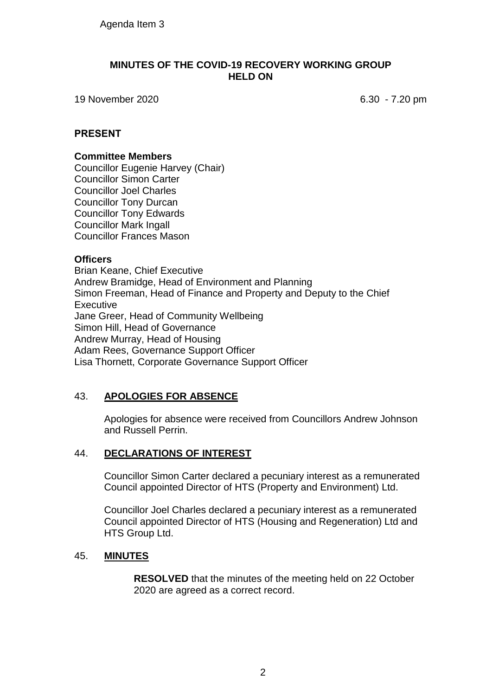#### **MINUTES OF THE COVID-19 RECOVERY WORKING GROUP HELD ON**

19 November 2020 6.30 - 7.20 pm

### **PRESENT**

#### **Committee Members**

Councillor Eugenie Harvey (Chair) Councillor Simon Carter Councillor Joel Charles Councillor Tony Durcan Councillor Tony Edwards Councillor Mark Ingall Councillor Frances Mason

## **Officers**

Brian Keane, Chief Executive Andrew Bramidge, Head of Environment and Planning Simon Freeman, Head of Finance and Property and Deputy to the Chief **Executive** Jane Greer, Head of Community Wellbeing Simon Hill, Head of Governance Andrew Murray, Head of Housing Adam Rees, Governance Support Officer Lisa Thornett, Corporate Governance Support Officer

# 43. **APOLOGIES FOR ABSENCE**

Apologies for absence were received from Councillors Andrew Johnson and Russell Perrin.

#### 44. **DECLARATIONS OF INTEREST**

Councillor Simon Carter declared a pecuniary interest as a remunerated Council appointed Director of HTS (Property and Environment) Ltd.

Councillor Joel Charles declared a pecuniary interest as a remunerated Council appointed Director of HTS (Housing and Regeneration) Ltd and HTS Group Ltd.

#### 45. **MINUTES**

**RESOLVED** that the minutes of the meeting held on 22 October 2020 are agreed as a correct record.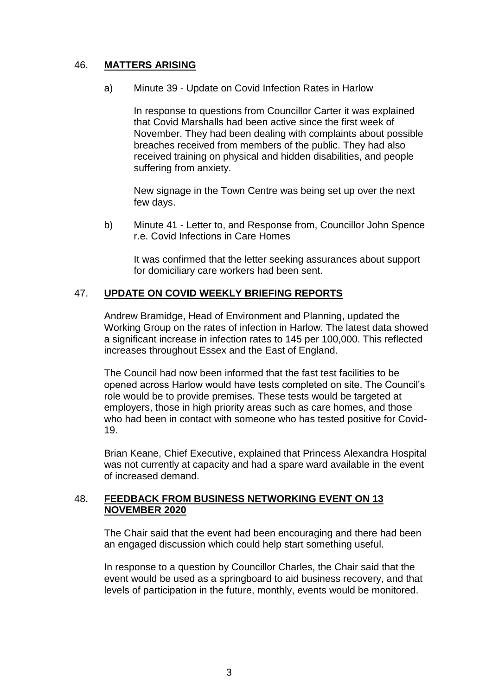## 46. **MATTERS ARISING**

a) Minute 39 - Update on Covid Infection Rates in Harlow

In response to questions from Councillor Carter it was explained that Covid Marshalls had been active since the first week of November. They had been dealing with complaints about possible breaches received from members of the public. They had also received training on physical and hidden disabilities, and people suffering from anxiety.

New signage in the Town Centre was being set up over the next few days.

b) Minute 41 - Letter to, and Response from, Councillor John Spence r.e. Covid Infections in Care Homes

It was confirmed that the letter seeking assurances about support for domiciliary care workers had been sent.

## 47. **UPDATE ON COVID WEEKLY BRIEFING REPORTS**

Andrew Bramidge, Head of Environment and Planning, updated the Working Group on the rates of infection in Harlow. The latest data showed a significant increase in infection rates to 145 per 100,000. This reflected increases throughout Essex and the East of England.

The Council had now been informed that the fast test facilities to be opened across Harlow would have tests completed on site. The Council's role would be to provide premises. These tests would be targeted at employers, those in high priority areas such as care homes, and those who had been in contact with someone who has tested positive for Covid-19.

Brian Keane, Chief Executive, explained that Princess Alexandra Hospital was not currently at capacity and had a spare ward available in the event of increased demand.

#### 48. **FEEDBACK FROM BUSINESS NETWORKING EVENT ON 13 NOVEMBER 2020**

The Chair said that the event had been encouraging and there had been an engaged discussion which could help start something useful.

In response to a question by Councillor Charles, the Chair said that the event would be used as a springboard to aid business recovery, and that levels of participation in the future, monthly, events would be monitored.